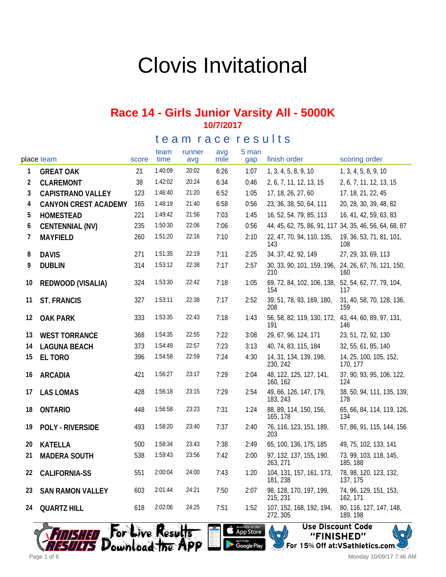# Clovis Invitational

#### **Race 14 - Girls Junior Varsity All - 5000K 10/7/2017**

#### team race results

|                | place team              | score | team<br>time | runner<br>avg | avg<br>mile | 5 man<br>gap | finish order                                                | scoring order                       |
|----------------|-------------------------|-------|--------------|---------------|-------------|--------------|-------------------------------------------------------------|-------------------------------------|
| 1              | <b>GREAT OAK</b>        | 21    | 1:40:09      | 20:02         | 6:26        | 1:07         | 1, 3, 4, 5, 8, 9, 10                                        | 1, 3, 4, 5, 8, 9, 10                |
| $\overline{2}$ | CLAREMONT               | 38    | 1:42:02      | 20:24         | 6:34        | 0:46         | 2, 6, 7, 11, 12, 13, 15                                     | 2, 6, 7, 11, 12, 13, 15             |
| 3              | CAPISTRANO VALLEY       | 123   | 1:46:40      | 21:20         | 6:52        | 1:05         | 17, 18, 26, 27, 60                                          | 17, 18, 21, 22, 45                  |
| 4              | CANYON CREST ACADEMY    | 165   | 1:48:19      | 21:40         | 6:58        | 0:56         | 23, 36, 38, 50, 64, 111                                     | 20, 28, 30, 39, 48, 82              |
| 5              | <b>HOMESTEAD</b>        | 221   | 1:49:42      | 21:56         | 7:03        | 1:45         | 16, 52, 54, 79, 85, 113                                     | 16, 41, 42, 59, 63, 83              |
| 6              | CENTENNIAL (NV)         | 235   | 1:50:30      | 22:06         | 7:06        | 0:56         | 44, 45, 62, 75, 86, 91, 117 34, 35, 46, 56, 64, 68, 87      |                                     |
| $\overline{7}$ | <b>MAYFIELD</b>         | 260   | 1:51:20      | 22:16         | 7:10        | 2:10         | 22, 47, 70, 94, 110, 135,<br>143                            | 19, 36, 53, 71, 81, 101,<br>108     |
| 8              | <b>DAVIS</b>            | 271   | 1:51:35      | 22:19         | 7:11        | 2:25         | 34, 37, 42, 92, 149                                         | 27, 29, 33, 69, 113                 |
| 9              | <b>DUBLIN</b>           | 314   | 1:53:12      | 22:38         | 7:17        | 2:57         | 30, 33, 90, 101, 159, 196, 24, 26, 67, 76, 121, 150,<br>210 | 160                                 |
| 10             | REDWOOD (VISALIA)       | 324   | 1:53:30      | 22:42         | 7:18        | 1:05         | 69, 72, 84, 102, 106, 138,<br>154                           | 52, 54, 62, 77, 79, 104,<br>117     |
| 11             | <b>ST. FRANCIS</b>      | 327   | 1:53:11      | 22:38         | 7:17        | 2:52         | 39, 51, 78, 93, 169, 180,<br>208                            | 31, 40, 58, 70, 128, 136,<br>159    |
| 12             | <b>OAK PARK</b>         | 333   | 1:53:35      | 22:43         | 7:18        | 1:43         | 56, 58, 82, 119, 130, 172, 43, 44, 60, 89, 97, 131,<br>191  | 146                                 |
| 13             | <b>WEST TORRANCE</b>    | 368   | 1:54:35      | 22:55         | 7:22        | 3:08         | 29, 67, 96, 124, 171                                        | 23, 51, 72, 92, 130                 |
| 14             | <b>LAGUNA BEACH</b>     | 373   | 1:54:49      | 22:57         | 7:23        | 3:13         | 40, 74, 83, 115, 184                                        | 32, 55, 61, 85, 140                 |
| 15             | EL TORO                 | 396   | 1:54:58      | 22:59         | 7:24        | 4:30         | 14, 31, 134, 139, 198,<br>230, 242                          | 14, 25, 100, 105, 152,<br>170.177   |
| 16             | <b>ARCADIA</b>          | 421   | 1:56:27      | 23:17         | 7:29        | 2:04         | 48, 122, 125, 127, 141,<br>160, 162                         | 37, 90, 93, 95, 106, 122,<br>124    |
| 17             | <b>LAS LOMAS</b>        | 428   | 1:56:18      | 23:15         | 7:29        | 2:54         | 49, 66, 126, 147, 179,<br>183, 243                          | 38, 50, 94, 111, 135, 139,<br>178   |
| 18             | <b>ONTARIO</b>          | 448   | 1:56:58      | 23:23         | 7:31        | 1:24         | 88, 89, 114, 150, 156,<br>165, 178                          | 65, 66, 84, 114, 119, 126,<br>134   |
| 19             | POLY - RIVERSIDE        | 493   | 1:58:20      | 23:40         | 7:37        | 2:40         | 76, 116, 123, 151, 189,<br>203                              | 57, 86, 91, 115, 144, 156           |
| 20             | <b>KATELLA</b>          | 500   | 1:58:34      | 23:43         | 7:38        | 2:49         | 65, 100, 136, 175, 185                                      | 49, 75, 102, 133, 141               |
| 21             | <b>MADERA SOUTH</b>     | 538   | 1:59:43      | 23:56         | 7:42        | 2:00         | 97, 132, 137, 155, 190,<br>263, 271                         | 73, 99, 103, 118, 145,<br>185, 188  |
| 22             | <b>CALIFORNIA-SS</b>    | 551   | 2:00:04      | 24:00         | 7:43        | 1:20         | 104, 131, 157, 161, 173,<br>181, 238                        | 78, 98, 120, 123, 132,<br>137, 175  |
| 23             | <b>SAN RAMON VALLEY</b> | 603   | 2:01:44      | 24:21         | 7:50        | 2:07         | 98, 128, 170, 197, 199,<br>215, 231                         | 74, 96, 129, 151, 153,<br>162, 171  |
| 24             | <b>QUARTZ HILL</b>      | 618   | 2:02:06      | 24:25         | 7:51        | 1:52         | 107, 152, 168, 192, 194,<br>272, 305                        | 80, 116, 127, 147, 148,<br>189, 198 |





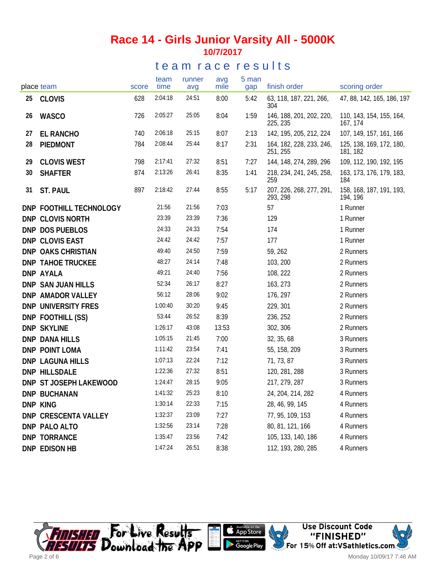#### team race results

|    | place team              | score | team<br>time | runner<br>avg | avg<br>mile | 5 man<br>gap | finish order                         | scoring order                        |
|----|-------------------------|-------|--------------|---------------|-------------|--------------|--------------------------------------|--------------------------------------|
| 25 | CLOVIS                  | 628   | 2:04:18      | 24:51         | 8:00        | 5:42         | 63, 118, 187, 221, 266,<br>304       | 47, 88, 142, 165, 186, 197           |
| 26 | <b>WASCO</b>            | 726   | 2:05:27      | 25:05         | 8:04        | 1:59         | 146, 188, 201, 202, 220,<br>225, 235 | 110, 143, 154, 155, 164,<br>167, 174 |
| 27 | <b>EL RANCHO</b>        | 740   | 2:06:18      | 25:15         | 8:07        | 2:13         | 142, 195, 205, 212, 224              | 107, 149, 157, 161, 166              |
| 28 | PIEDMONT                | 784   | 2:08:44      | 25:44         | 8:17        | 2:31         | 164, 182, 228, 233, 246,<br>251, 255 | 125, 138, 169, 172, 180,<br>181, 182 |
| 29 | <b>CLOVIS WEST</b>      | 798   | 2:17:41      | 27:32         | 8:51        | 7:27         | 144, 148, 274, 289, 296              | 109, 112, 190, 192, 195              |
| 30 | <b>SHAFTER</b>          | 874   | 2:13:26      | 26:41         | 8:35        | 1:41         | 218, 234, 241, 245, 258,<br>259      | 163, 173, 176, 179, 183,<br>184      |
| 31 | ST. PAUL                | 897   | 2:18:42      | 27:44         | 8:55        | 5:17         | 207, 226, 268, 277, 291,<br>293, 298 | 158, 168, 187, 191, 193,<br>194, 196 |
|    | DNP FOOTHILL TECHNOLOGY |       | 21:56        | 21:56         | 7:03        |              | 57                                   | 1 Runner                             |
|    | DNP CLOVIS NORTH        |       | 23:39        | 23:39         | 7:36        |              | 129                                  | 1 Runner                             |
|    | DNP DOS PUEBLOS         |       | 24:33        | 24:33         | 7:54        |              | 174                                  | 1 Runner                             |
|    | DNP CLOVIS EAST         |       | 24:42        | 24:42         | 7:57        |              | 177                                  | 1 Runner                             |
|    | DNP OAKS CHRISTIAN      |       | 49:40        | 24:50         | 7:59        |              | 59, 262                              | 2 Runners                            |
|    | DNP TAHOE TRUCKEE       |       | 48:27        | 24:14         | 7:48        |              | 103, 200                             | 2 Runners                            |
|    | DNP AYALA               |       | 49:21        | 24:40         | 7:56        |              | 108, 222                             | 2 Runners                            |
|    | DNP SAN JUAN HILLS      |       | 52:34        | 26:17         | 8:27        |              | 163, 273                             | 2 Runners                            |
|    | DNP AMADOR VALLEY       |       | 56:12        | 28:06         | 9:02        |              | 176, 297                             | 2 Runners                            |
|    | DNP UNIVERSITY FRES     |       | 1:00:40      | 30:20         | 9:45        |              | 229, 301                             | 2 Runners                            |
|    | DNP FOOTHILL (SS)       |       | 53:44        | 26:52         | 8:39        |              | 236, 252                             | 2 Runners                            |
|    | <b>DNP SKYLINE</b>      |       | 1:26:17      | 43:08         | 13:53       |              | 302, 306                             | 2 Runners                            |
|    | <b>DNP DANA HILLS</b>   |       | 1:05:15      | 21:45         | 7:00        |              | 32, 35, 68                           | 3 Runners                            |
|    | DNP POINT LOMA          |       | 1:11:42      | 23:54         | 7:41        |              | 55, 158, 209                         | 3 Runners                            |
|    | DNP LAGUNA HILLS        |       | 1:07:13      | 22:24         | 7:12        |              | 71, 73, 87                           | 3 Runners                            |
|    | DNP HILLSDALE           |       | 1:22:36      | 27:32         | 8:51        |              | 120, 281, 288                        | 3 Runners                            |
|    | DNP ST JOSEPH LAKEWOOD  |       | 1:24:47      | 28:15         | 9:05        |              | 217, 279, 287                        | 3 Runners                            |
|    | <b>DNP BUCHANAN</b>     |       | 1:41:32      | 25:23         | 8:10        |              | 24, 204, 214, 282                    | 4 Runners                            |
|    | DNP KING                |       | 1:30:14      | 22:33         | 7:15        |              | 28, 46, 99, 145                      | 4 Runners                            |
|    | DNP CRESCENTA VALLEY    |       | 1:32:37      | 23:09         | 7:27        |              | 77, 95, 109, 153                     | 4 Runners                            |
|    | DNP PALO ALTO           |       | 1:32:56      | 23:14         | 7:28        |              | 80, 81, 121, 166                     | 4 Runners                            |
|    | DNP TORRANCE            |       | 1:35:47      | 23:56         | 7:42        |              | 105, 133, 140, 186                   | 4 Runners                            |
|    | DNP EDISON HB           |       | 1:47:24      | 26:51         | 8:38        |              | 112, 193, 280, 285                   | 4 Runners                            |





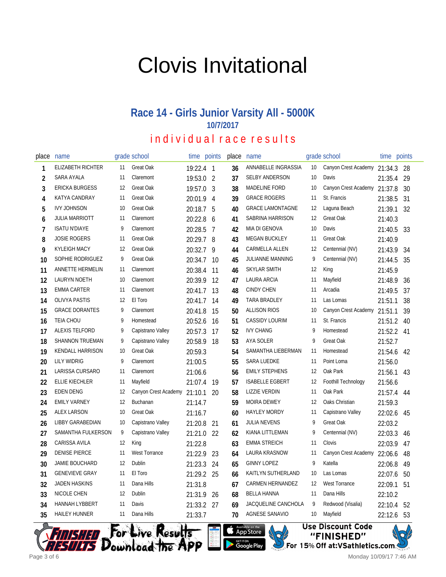# Clovis Invitational

## **Race 14 - Girls Junior Varsity All - 5000K 10/7/2017**

## individual race results

| place | name                     |    | grade school                 | time points |                | place | name                    |    | grade school                 | time    | points |
|-------|--------------------------|----|------------------------------|-------------|----------------|-------|-------------------------|----|------------------------------|---------|--------|
| 1     | <b>ELIZABETH RICHTER</b> | 11 | <b>Great Oak</b>             | 19:22.4 1   |                | 36    | ANNABELLE INGRASSIA     | 10 | Canyon Crest Academy 21:34.3 |         | -28    |
| 2     | SARA AYALA               | 11 | Claremont                    | 19:53.0 2   |                | 37    | <b>SELBY ANDERSON</b>   | 10 | Davis                        | 21:35.4 | 29     |
| 3     | <b>ERICKA BURGESS</b>    | 12 | <b>Great Oak</b>             | 19:57.0 3   |                | 38    | MADELINE FORD           | 10 | Canyon Crest Academy         | 21:37.8 | 30     |
| 4     | KATYA CANDRAY            | 11 | Great Oak                    | 20:01.9 4   |                | 39    | <b>GRACE ROGERS</b>     | 11 | St. Francis                  | 21:38.5 | 31     |
| 5     | <b>IVY JOHNSON</b>       | 10 | <b>Great Oak</b>             | 20:18.7 5   |                | 40    | <b>GRACE LAMONTAGNE</b> | 12 | Laguna Beach                 | 21:39.1 | 32     |
| 6     | <b>JULIA MARRIOTT</b>    | 11 | Claremont                    | 20:22.8 6   |                | 41    | SABRINA HARRISON        | 12 | Great Oak                    | 21:40.3 |        |
| 7     | <b>ISATU N'DIAYE</b>     | 9  | Claremont                    | 20:28.5     | $\overline{7}$ | 42    | MIA DI GENOVA           | 10 | Davis                        | 21:40.5 | 33     |
| 8     | <b>JOSIE ROGERS</b>      | 11 | Great Oak                    | 20:29.7 8   |                | 43    | <b>MEGAN BUCKLEY</b>    | 11 | Great Oak                    | 21:40.9 |        |
| 9     | <b>KYLEIGH MACY</b>      | 12 | <b>Great Oak</b>             | 20:32.7     | - 9            | 44    | CARMELLA ALLEN          | 12 | Centennial (NV)              | 21:43.9 | 34     |
| 10    | SOPHIE RODRIGUEZ         | 9  | Great Oak                    | 20:34.7     | 10             | 45    | JULIANNE MANNING        | 9  | Centennial (NV)              | 21:44.5 | 35     |
| 11    | ANNETTE HERMELIN         | 11 | Claremont                    | 20:38.4     | 11             | 46    | <b>SKYLAR SMITH</b>     | 12 | King                         | 21:45.9 |        |
| 12    | <b>LAURYN NOETH</b>      | 10 | Claremont                    | 20:39.9     | 12             | 47    | LAURA ARCIA             | 11 | Mayfield                     | 21:48.9 | 36     |
| 13    | <b>EMMA CARTER</b>       | 11 | Claremont                    | 20:41.7     | 13             | 48    | <b>CINDY CHEN</b>       | 11 | Arcadia                      | 21:49.5 | 37     |
| 14    | <b>OLIVYA PASTIS</b>     | 12 | El Toro                      | 20:41.7     | -14            | 49    | TARA BRADLEY            | 11 | Las Lomas                    | 21:51.1 | 38     |
| 15    | <b>GRACE DORANTES</b>    | 9  | Claremont                    | 20:41.8     | 15             | 50    | <b>ALLISON RIOS</b>     | 10 | Canyon Crest Academy         | 21:51.1 | 39     |
| 16    | TEIA CHOU                | 9  | Homestead                    | 20:52.6     | 16             | 51    | <b>CASSIDY LOURIM</b>   | 11 | St. Francis                  | 21:51.2 | 40     |
| 17    | <b>ALEXIS TELFORD</b>    | 9  | Capistrano Valley            | 20:57.3     | 17             | 52    | <b>IVY CHANG</b>        | 9  | Homestead                    | 21:52.2 | 41     |
| 18    | <b>SHANNON TRUEMAN</b>   | 9  | Capistrano Valley            | 20:58.9     | 18             | 53    | AYA SOLER               | 9  | Great Oak                    | 21:52.7 |        |
| 19    | KENDALL HARRISON         | 10 | Great Oak                    | 20:59.3     |                | 54    | SAMANTHA LIEBERMAN      | 11 | Homestead                    | 21:54.6 | 42     |
| 20    | <b>LILY WIDRIG</b>       | 9  | Claremont                    | 21:00.5     |                | 55    | <b>SARA LUEDKE</b>      | 11 | Point Loma                   | 21:56.0 |        |
| 21    | LARISSA CURSARO          | 11 | Claremont                    | 21:06.6     |                | 56    | <b>EMILY STEPHENS</b>   | 12 | Oak Park                     | 21:56.1 | 43     |
| 22    | ELLIE KIECHLER           | 11 | Mayfield                     | 21:07.4     | -19            | 57    | <b>ISABELLE EGBERT</b>  | 12 | Foothill Technology          | 21:56.6 |        |
| 23    | <b>EDEN DENG</b>         | 12 | Canyon Crest Academy 21:10.1 |             | 20             | 58    | <b>LIZZIE VERDIN</b>    | 11 | Oak Park                     | 21:57.4 | 44     |
| 24    | <b>EMILY VARNEY</b>      | 12 | Buchanan                     | 21:14.7     |                | 59    | <b>MOIRA DEWEY</b>      | 12 | Oaks Christian               | 21:59.3 |        |
| 25    | <b>ALEX LARSON</b>       | 10 | Great Oak                    | 21:16.7     |                | 60    | <b>HAYLEY MORDY</b>     | 11 | Capistrano Valley            | 22:02.6 | 45     |
| 26    | LIBBY GARABEDIAN         | 10 | Capistrano Valley            | 21:20.8     | 21             | 61    | <b>JULIA NEVENS</b>     | 9  | Great Oak                    | 22:03.2 |        |
| 27    | SAMANTHA FULKERSON       | 9  | Capistrano Valley            | 21:21.0     | 22             | 62    | KIANA LITTLEMAN         | 9  | Centennial (NV)              | 22:03.3 | 46     |
| 28    | CARISSA AVILA            | 12 | King                         | 21:22.8     |                | 63    | <b>EMMA STREICH</b>     | 11 | Clovis                       | 22:03.9 | 47     |
| 29    | <b>DENISE PIERCE</b>     | 11 | <b>West Torrance</b>         | 21:22.9     | 23             | 64    | LAURA KRASNOW           | 11 | Canyon Crest Academy         | 22:06.6 | 48     |
| 30    | <b>JAMIE BOUCHARD</b>    | 12 | Dublin                       | 21:23.3     | 24             | 65    | <b>GINNY LOPEZ</b>      | 9  | Katella                      | 22:06.8 | 49     |
| 31    | <b>GENEVIEVE GRAY</b>    | 11 | El Toro                      | 21:29.2 25  |                | 66    | KAITLYN SUTHERLAND      | 10 | Las Lomas                    | 22:07.6 | 50     |
| 32    | <b>JADEN HASKINS</b>     | 11 | Dana Hills                   | 21:31.8     |                | 67    | CARMEN HERNANDEZ        | 12 | West Torrance                | 22:09.1 | 51     |
| 33    | NICOLE CHEN              | 12 | Dublin                       | 21:31.9     | 26             | 68    | <b>BELLA HANNA</b>      | 11 | Dana Hills                   | 22:10.2 |        |
| 34    | HANNAH LYBBERT           | 11 | Davis                        | 21:33.2     | 27             | 69    | JACQUELINE CANCHOLA     | 9  | Redwood (Visalia)            | 22:10.4 | 52     |
| 35    | <b>HAILEY HUNNER</b>     | 11 | Dana Hills                   | 21:33.7     |                | 70    | AGNESE SANAVIO          | 10 | Mayfield                     | 22:12.6 | 53     |





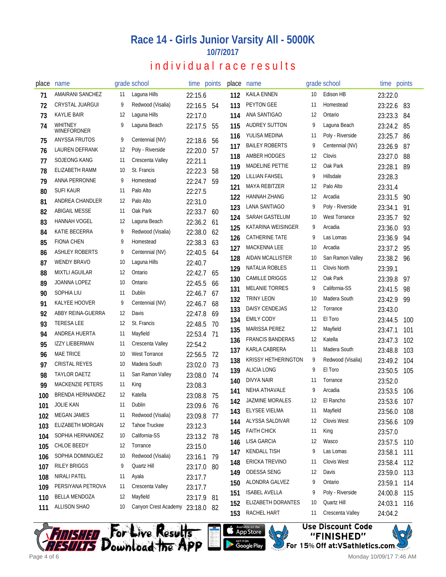### individual race results

| place | name                                 |    | grade school         | time points |      | place | name                       |    | grade school         | time points |     |
|-------|--------------------------------------|----|----------------------|-------------|------|-------|----------------------------|----|----------------------|-------------|-----|
| 71    | <b>AMAIRANI SANCHEZ</b>              | 11 | Laguna Hills         | 22:15.6     |      | 112   | <b>KAILA ENNEN</b>         | 10 | Edison HB            | 23:22.0     |     |
| 72    | <b>CRYSTAL JUARGUI</b>               | 9  | Redwood (Visalia)    | 22:16.5     | -54  | 113   | PEYTON GEE                 | 11 | Homestead            | 23:22.6     | 83  |
| 73    | <b>KAYLIE BAIR</b>                   | 12 | Laguna Hills         | 22:17.0     |      | 114   | ANA SANTIGAO               | 12 | Ontario              | 23:23.3     | 84  |
| 74    | <b>WHITNEY</b><br><b>WINEFORDNER</b> | 9  | Laguna Beach         | 22:17.5     | 55   | 115   | <b>AUDREY SUTTON</b>       | 9  | Laguna Beach         | 23:24.2     | 85  |
| 75    | ANYSSA FRUTOS                        | 9  | Centennial (NV)      | 22:18.6     | 56   | 116   | YULISA MEDINA              | 11 | Poly - Riverside     | 23:25.7     | 86  |
| 76    | LAUREN DEFRANK                       | 12 | Poly - Riverside     | 22:20.0     | 57   | 117   | <b>BAILEY ROBERTS</b>      | 9  | Centennial (NV)      | 23:26.9     | 87  |
| 77    | <b>SOJEONG KANG</b>                  | 11 | Crescenta Valley     | 22:21.1     |      | 118   | AMBER HODGES               | 12 | Clovis               | 23:27.0     | 88  |
| 78    | ELIZABETH RAMM                       | 10 | St. Francis          | 22:22.3     | 58   | 119   | <b>MADELINE PETTIE</b>     | 12 | Oak Park             | 23:28.1     | 89  |
| 79    | ANNA PERRONNE                        | 9  | Homestead            | 22:24.7     | 59   | 120   | <b>LILLIAN FAHSEL</b>      | 9  | Hillsdale            | 23:28.3     |     |
| 80    | SUFI KAUR                            | 11 | Palo Alto            | 22:27.5     |      | 121   | <b>MAYA REBITZER</b>       | 12 | Palo Alto            | 23:31.4     |     |
| 81    | ANDREA CHANDLER                      | 12 | Palo Alto            | 22:31.0     |      | 122   | <b>HANNAH ZHANG</b>        | 12 | Arcadia              | 23:31.5     | 90  |
| 82    | <b>ABIGAIL MESSE</b>                 | 11 | Oak Park             | 22:33.7     | -60  | 123   | LANA SANTIAGO              | 9  | Poly - Riverside     | 23:34.1     | 91  |
| 83    | HANNAH VOGEL                         | 12 | Laguna Beach         | 22:36.2 61  |      | 124   | SARAH GASTELUM             | 10 | <b>West Torrance</b> | 23:35.7     | 92  |
| 84    | KATIE BECERRA                        | 9  | Redwood (Visalia)    | 22:38.0     | 62   | 125   | KATARINA WEISINGER         | 9  | Arcadia              | 23:36.0     | 93  |
| 85    | <b>FIONA CHEN</b>                    | 9  | Homestead            | 22:38.3     | 63   | 126   | <b>CATHERINE TATE</b>      | 9  | Las Lomas            | 23:36.9     | 94  |
| 86    | <b>ASHLEY ROBERTS</b>                | 9  | Centennial (NV)      | 22:40.5     | 64   | 127   | <b>MACKENNA LEE</b>        | 10 | Arcadia              | 23:37.2     | 95  |
| 87    | <b>WENDY BRAVO</b>                   | 10 | Laguna Hills         | 22:40.7     |      | 128   | AIDAN MCALLISTER           | 10 | San Ramon Valley     | 23:38.2     | 96  |
| 88    | <b>MIXTLI AGUILAR</b>                | 12 | Ontario              | 22:42.7     | 65   | 129   | NATALIA ROBLES             | 11 | Clovis North         | 23:39.1     |     |
| 89    | <b>JOANNA LOPEZ</b>                  | 10 | Ontario              | 22:45.5     | 66   | 130   | <b>CAMILLE DRIGGS</b>      | 12 | Oak Park             | 23:39.8     | 97  |
| 90    | SOPHIA LIU                           | 11 | Dublin               | 22:46.7 67  |      | 131   | <b>MELANIE TORRES</b>      | 9  | California-SS        | 23:41.5     | 98  |
| 91    | KALYEE HOOVER                        | 9  | Centennial (NV)      | 22:46.7     | 68   | 132   | <b>TRINY LEON</b>          | 10 | Madera South         | 23:42.9     | -99 |
| 92    | ABBY REINA-GUERRA                    | 12 | Davis                | 22:47.8     | 69   | 133   | <b>DAISY CENDEJAS</b>      | 12 | Torrance             | 23:43.0     |     |
| 93    | <b>TERESA LEE</b>                    | 12 | St. Francis          | 22:48.5     | 70   | 134   | <b>EMILY CODY</b>          | 11 | El Toro              | 23:44.5     | 100 |
| 94    | ANDREA HUERTA                        | 11 | Mayfield             | 22:53.4     | -71  | 135   | <b>MARISSA PEREZ</b>       | 12 | Mayfield             | 23:47.1     | 101 |
| 95    | <b>IZZY LIEBERMAN</b>                | 11 | Crescenta Valley     | 22:54.2     |      | 136   | <b>FRANCIS BANDERAS</b>    | 12 | Katella              | 23:47.3     | 102 |
| 96    | <b>MAE TRICE</b>                     | 10 | <b>West Torrance</b> | 22:56.5     | 72   | 137   | KARLA CABRERA              | 11 | Madera South         | 23:48.8     | 103 |
| 97    | <b>CRISTAL REYES</b>                 | 10 | Madera South         | 23:02.0     | 73   | 138   | <b>KRISSY HETHERINGTON</b> | 9  | Redwood (Visalia)    | 23:49.2     | 104 |
| 98    | <b>TAYLOR DAETZ</b>                  | 11 | San Ramon Valley     | 23:08.0     | 74   | 139   | <b>ALICIA LONG</b>         | 9  | El Toro              | 23:50.5     | 105 |
| 99    | <b>MACKENZIE PETERS</b>              | 11 | King                 | 23:08.3     |      | 140   | DIVYA NAIR                 | 11 | Torrance             | 23:52.0     |     |
| 100   | BRENDA HERNANDEZ                     | 12 | Katella              | 23:08.8     | - 75 | 141   | <b>NEHA ATHAVALE</b>       | 9  | Arcadia              | 23:53.5     | 106 |
| 101   | JOLIE KAN                            | 11 | Dublin               | 23:09.6 76  |      | 142   | <b>JAZMINE MORALES</b>     | 12 | El Rancho            | 23:53.6 107 |     |
| 102   | <b>MEGAN JAMES</b>                   | 11 | Redwood (Visalia)    | 23:09.8 77  |      | 143   | ELYSEE VIELMA              | 11 | Mayfield             | 23:56.0     | 108 |
| 103   | ELIZABETH MORGAN                     | 12 | Tahoe Truckee        | 23:12.3     |      | 144   | ALYSSA SALDIVAR            | 12 | Clovis West          | 23:56.6     | 109 |
| 104   | SOPHIA HERNANDEZ                     | 10 | California-SS        | 23:13.2 78  |      | 145   | <b>FAITH CHICK</b>         | 11 | King                 | 23:57.0     |     |
| 105   | CHLOE BEEDY                          | 12 | Torrance             | 23:15.0     |      | 146   | <b>LISA GARCIA</b>         | 12 | Wasco                | 23:57.5     | 110 |
| 106   | SOPHIA DOMINGUEZ                     | 10 | Redwood (Visalia)    | 23:16.1     | - 79 | 147   | <b>KENDALL TISH</b>        | 9  | Las Lomas            | 23:58.1     | 111 |
| 107   | RILEY BRIGGS                         | 9  | Quartz Hill          | 23:17.0 80  |      | 148   | ERICKA TREVINO             | 11 | Clovis West          | 23:58.4     | 112 |
| 108   | NIRALI PATEL                         | 11 | Ayala                | 23:17.7     |      | 149   | <b>ODESSA SENG</b>         | 12 | Davis                | 23:59.0     | 113 |
| 109   | PERSIYANA PETROVA                    | 11 | Crescenta Valley     | 23:17.7     |      | 150   | ALONDRA GALVEZ             | 9  | Ontario              | 23:59.1     | 114 |
| 110   | <b>BELLA MENDOZA</b>                 | 12 | Mayfield             | 23:17.9 81  |      | 151   | <b>ISABEL AVELLA</b>       | 9  | Poly - Riverside     | 24:00.8     | 115 |
| 111   | <b>ALLISON SHAO</b>                  | 10 | Canyon Crest Academy | 23:18.0 82  |      | 152   | ELIZABETH DORANTES         | 10 | Quartz Hill          | 24:03.1     | 116 |
|       |                                      |    |                      |             |      | 153   | RACHEL HART                | 11 | Crescenta Valley     | 24:04.2     |     |





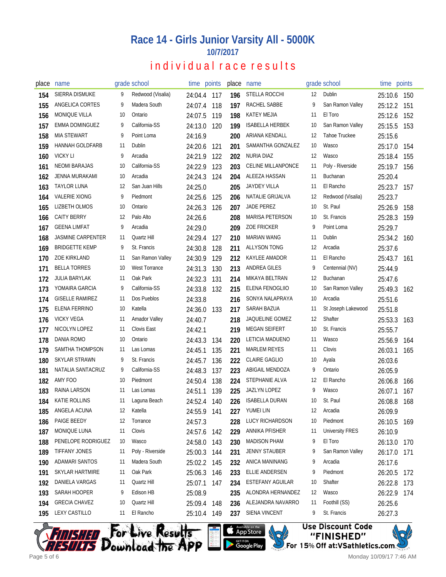### individual race results

| place | name                     |     | grade school         | time points |     |     | place name              |    | grade school           | time points |     |
|-------|--------------------------|-----|----------------------|-------------|-----|-----|-------------------------|----|------------------------|-------------|-----|
| 154   | SIERRA DISMUKE           | 9   | Redwood (Visalia)    | 24:04.4     | 117 | 196 | STELLA ROCCHI           | 12 | Dublin                 | 25:10.6     | 150 |
| 155   | ANGELICA CORTES          | 9   | Madera South         | 24:07.4     | 118 | 197 | RACHEL SABBE            | 9  | San Ramon Valley       | 25:12.2     | 151 |
| 156   | MONIQUE VILLA            | 10  | Ontario              | 24:07.5     | 119 | 198 | <b>KATEY MEJIA</b>      | 11 | El Toro                | 25:12.6     | 152 |
| 157   | <b>EMMA DOMINGUEZ</b>    | 9   | California-SS        | 24:13.0     | 120 | 199 | <b>ISABELLA HERBEK</b>  | 10 | San Ramon Valley       | 25:15.5     | 153 |
| 158   | <b>MIA STEWART</b>       | 9   | Point Loma           | 24:16.9     |     | 200 | ARIANA KENDALL          | 12 | <b>Tahoe Truckee</b>   | 25:15.6     |     |
| 159   | <b>HANNAH GOLDFARB</b>   | 11  | Dublin               | 24:20.6     | 121 | 201 | SAMANTHA GONZALEZ       | 10 | Wasco                  | 25:17.0     | 154 |
| 160   | <b>VICKY LI</b>          | 9   | Arcadia              | 24:21.9     | 122 | 202 | <b>NURIA DIAZ</b>       | 12 | Wasco                  | 25:18.4     | 155 |
| 161   | <b>NEOMI BARAJAS</b>     | 10  | California-SS        | 24:22.9     | 123 | 203 | CELINE MILLANPONCE      | 11 | Poly - Riverside       | 25:19.7     | 156 |
| 162   | <b>JENNA MURAKAMI</b>    | 10  | Arcadia              | 24:24.3     | 124 | 204 | ALEEZA HASSAN           | 11 | Buchanan               | 25:20.4     |     |
| 163   | TAYLOR LUNA              | 12  | San Juan Hills       | 24:25.0     |     | 205 | JAYDEY VILLA            | 11 | El Rancho              | 25:23.7 157 |     |
| 164   | <b>VALERIE XIONG</b>     | 9   | Piedmont             | 24:25.6     | 125 | 206 | NATALIE GRIJALVA        | 12 | Redwood (Visalia)      | 25:23.7     |     |
| 165   | LIZBETH OLMOS            | 10  | Ontario              | 24:26.3     | 126 | 207 | JADE PEREZ              | 10 | St. Paul               | 25:26.9     | 158 |
| 166   | <b>CAITY BERRY</b>       | 12  | Palo Alto            | 24:26.6     |     | 208 | <b>MARISA PETERSON</b>  | 10 | St. Francis            | 25:28.3     | 159 |
| 167   | <b>GEENA LIMFAT</b>      | 9   | Arcadia              | 24:29.0     |     | 209 | <b>ZOE FRICKER</b>      | 9  | Point Loma             | 25:29.7     |     |
| 168   | <b>JASMINE CARPENTER</b> | 11  | Quartz Hill          | 24:29.4     | 127 | 210 | <b>MARIAN WANG</b>      | 11 | Dublin                 | 25:34.2     | 160 |
| 169   | <b>BRIDGETTE KEMP</b>    | 9   | St. Francis          | 24:30.8     | 128 | 211 | ALLYSON TONG            | 12 | Arcadia                | 25:37.6     |     |
| 170   | <b>ZOE KIRKLAND</b>      | 11  | San Ramon Valley     | 24:30.9     | 129 | 212 | KAYLEE AMADOR           | 11 | El Rancho              | 25:43.7     | 161 |
| 171   | <b>BELLA TORRES</b>      | 10  | <b>West Torrance</b> | 24:31.3     | 130 | 213 | ANDREA GILES            | 9  | Centennial (NV)        | 25:44.9     |     |
| 172   | <b>JULIA BARYLAK</b>     | 11  | Oak Park             | 24:32.3     | 131 | 214 | MIKAYA BELTRAN          | 12 | Buchanan               | 25:47.6     |     |
| 173   | YOMAIRA GARCIA           | 9   | California-SS        | 24:33.8     | 132 | 215 | ELENA FENOGLIIO         | 10 | San Ramon Valley       | 25:49.3     | 162 |
| 174   | <b>GISELLE RAMIREZ</b>   | 11  | Dos Pueblos          | 24:33.8     |     | 216 | SONYA NALAPRAYA         | 10 | Arcadia                | 25:51.6     |     |
| 175   | ELENA FERRINO            | 10  | Katella              | 24:36.0     | 133 | 217 | SARAH BAZUA             | 11 | St Joseph Lakewood     | 25:51.8     |     |
| 176   | <b>VICKY VEGA</b>        | 11  | <b>Amador Valley</b> | 24:40.7     |     | 218 | <b>JAQUELINE GOMEZ</b>  | 12 | Shafter                | 25:53.3     | 163 |
| 177   | NICOLYN LOPEZ            | 11  | Clovis East          | 24:42.1     |     | 219 | <b>MEGAN SEIFERT</b>    | 10 | St. Francis            | 25:55.7     |     |
| 178   | DANIA ROMO               | 10  | Ontario              | 24:43.3     | 134 | 220 | LETICIA MADUENO         | 11 | Wasco                  | 25:56.9     | 164 |
| 179   | SAMTHA THOMPSON          | -11 | Las Lomas            | 24:45.1     | 135 | 221 | <b>MARLEM REYES</b>     | 11 | Clovis                 | 26:03.1     | 165 |
| 180   | SKYLAR STRAWN            | 9   | St. Francis          | 24:45.7     | 136 | 222 | <b>CLAIRE GAGLIO</b>    | 10 | Ayala                  | 26:03.6     |     |
| 181   | NATALIA SANTACRUZ        | 9   | California-SS        | 24:48.3     | 137 | 223 | ABIGAIL MENDOZA         | 9  | Ontario                | 26:05.9     |     |
| 182   | AMY FOO                  | 10  | Piedmont             | 24:50.4     | 138 | 224 | STEPHANIE ALVA          | 12 | El Rancho              | 26:06.8     | 166 |
| 183   | RAINA LARSON             | 11  | Las Lomas            | 24:51.1     | 139 | 225 | JAZLYN LOPEZ            | 9  | Wasco                  | 26:07.1     | 167 |
| 184   | <b>KATIE ROLLINS</b>     | 11  | Laguna Beach         | 24:52.4 140 |     | 226 | <b>ISABELLA DURAN</b>   | 10 | St. Paul               | 26:08.8     | 168 |
| 185   | ANGELA ACUNA             | 12  | Katella              | 24:55.9 141 |     | 227 | YUMEI LIN               | 12 | Arcadia                | 26:09.9     |     |
| 186   | PAIGE BEEDY              | 12  | Torrance             | 24:57.3     |     | 228 | LUCY RICHARDSON         | 10 | Piedmont               | 26:10.5     | 169 |
| 187   | MONIQUE LUNA             | 11  | Clovis               | 24:57.6     | 142 | 229 | ANNIKA PFISHER          | 11 | <b>University FRES</b> | 26:10.9     |     |
| 188   | PENELOPE RODRIGUEZ       | 10  | Wasco                | 24:58.0     | 143 | 230 | <b>MADISON PHAM</b>     | 9  | El Toro                | 26:13.0     | 170 |
| 189   | TIFFANY JONES            | 11  | Poly - Riverside     | 25:00.3     | 144 | 231 | <b>JENNY STAUBER</b>    | 9  | San Ramon Valley       | 26:17.0     | 171 |
| 190   | ADAMARI SANTOS           | 11  | Madera South         | 25:02.2     | 145 | 232 | ANICA MANINANG          | 9  | Arcadia                | 26:17.6     |     |
| 191   | SKYLAR HARTMIRE          | 11  | Oak Park             | 25:06.3     | 146 | 233 | ELLIE ANDERSEN          | 9  | Piedmont               | 26:20.5     | 172 |
| 192   | DANIELA VARGAS           | 11  | Quartz Hill          | 25:07.1     | 147 | 234 | <b>ESTEFANY AGUILAR</b> | 10 | Shafter                | 26:22.8     | 173 |
| 193   | SARAH HOOPER             | 9   | Edison HB            | 25:08.9     |     | 235 | ALONDRA HERNANDEZ       | 12 | Wasco                  | 26:22.9     | 174 |
| 194   | <b>GRECIA CHAVEZ</b>     | 10  | Quartz Hill          | 25:09.4     | 148 | 236 | ALEJANDRA NAVARRO       | 11 | Foothill (SS)          | 26:25.6     |     |
| 195   | LEXY CASTILLO            | 11  | El Rancho            | 25:10.4 149 |     | 237 | SIENA VINCENT           | 9  | St. Francis            | 26:27.3     |     |